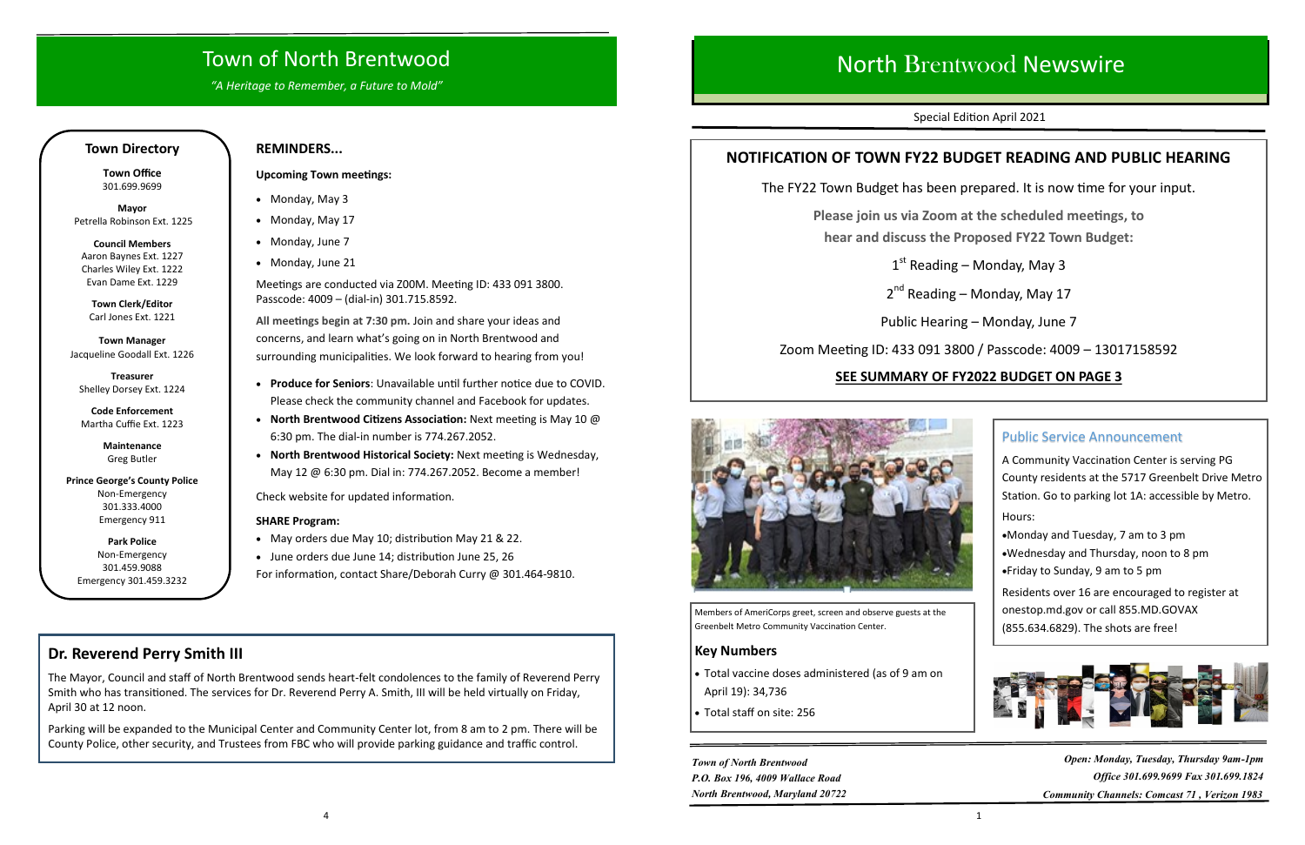# Town of North Brentwood

*"A Heritage to Remember, a Future to Mold"*

## **Town Directory**

**Town Office** 301.699.9699

**Mayor** Petrella Robinson Ext. 1225

**Council Members**  Aaron Baynes Ext. 1227 Charles Wiley Ext. 1222 Evan Dame Ext. 1229

**Town Clerk/Editor**  Carl Jones Ext. 1221

**Town Manager**  Jacqueline Goodall Ext. 1226

**Treasurer**  Shelley Dorsey Ext. 1224

**Code Enforcement**  Martha Cuffie Ext. 1223

> **Maintenance** Greg Butler

**Prince George's County Police** Non-Emergency 301.333.4000 Emergency 911

**Park Police** Non-Emergency 301.459.9088 Emergency 301.459.3232

## **REMINDERS...**

#### **Upcoming Town meetings:**

- Monday, May 3
- Monday, May 17
- Monday, June 7
- Monday, June 21

Meetings are conducted via Z00M. Meeting ID: 433 091 3800. Passcode: 4009 – (dial-in) 301.715.8592.

**All meetings begin at 7:30 pm.** Join and share your ideas and concerns, and learn what's going on in North Brentwood and surrounding municipalities. We look forward to hearing from you!

- **Produce for Seniors**: Unavailable until further notice due to COVID. Please check the community channel and Facebook for updates.
- **North Brentwood Citizens Association:** Next meeting is May 10 @ 6:30 pm. The dial-in number is 774.267.2052.
- **North Brentwood Historical Society:** Next meeting is Wednesday, May 12 @ 6:30 pm. Dial in: 774.267.2052. Become a member!

Check website for updated information.

### **SHARE Program:**

- May orders due May 10; distribution May 21 & 22.
- June orders due June 14; distribution June 25, 26

For information, contact Share/Deborah Curry @ 301.464-9810.

## **Dr. Reverend Perry Smith III**

The Mayor, Council and staff of North Brentwood sends heart-felt condolences to the family of Reverend Perry Smith who has transitioned. The services for Dr. Reverend Perry A. Smith, III will be held virtually on Friday, April 30 at 12 noon.

Parking will be expanded to the Municipal Center and Community Center lot, from 8 am to 2 pm. There will be County Police, other security, and Trustees from FBC who will provide parking guidance and traffic control.

# North Brentwood Newswire

Special Edition April 2021

## **NOTIFICATION OF TOWN FY22 BUDGET READING AND PUBLIC HEARING**

The FY22 Town Budget has been prepared. It is now time for your input.

**Please join us via Zoom at the scheduled meetings, to hear and discuss the Proposed FY22 Town Budget:**

1st Reading – Monday, May 3

2<sup>nd</sup> Reading – Monday, May 17

Public Hearing – Monday, June 7

Zoom Meeting ID: 433 091 3800 / Passcode: 4009 – 13017158592

## **SEE SUMMARY OF FY2022 BUDGET ON PAGE 3**



## Public Service Announcement

A Community Vaccination Center is serving PG County residents at the 5717 Greenbelt Drive Metro Station. Go to parking lot 1A: accessible by Metro. Hours:

•Monday and Tuesday, 7 am to 3 pm

- •Wednesday and Thursday, noon to 8 pm
- •Friday to Sunday, 9 am to 5 pm

Residents over 16 are encouraged to register at onestop.md.gov or call 855.MD.GOVAX (855.634.6829). The shots are free!



Members of AmeriCorps greet, screen and observe guests at the Greenbelt Metro Community Vaccination Center.

## **Key Numbers**

- Total vaccine doses administered (as of 9 am on April 19): 34,736
- Total staff on site: 256

*Town of North Brentwood P.O. Box 196, 4009 Wallace Road North Brentwood, Maryland 20722*

*Open: Monday, Tuesday, Thursday 9am-1pm Office 301.699.9699 Fax 301.699.1824 Community Channels: Comcast 71 , Verizon 1983*